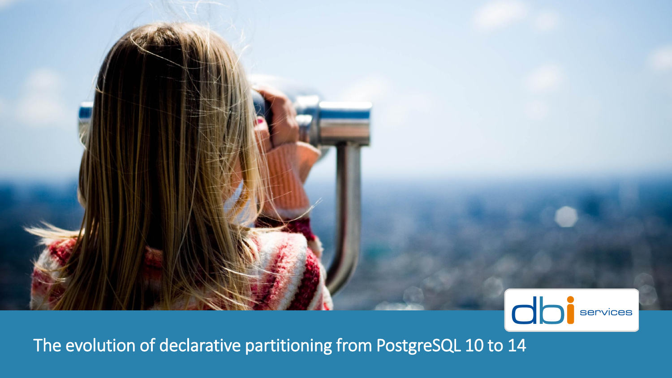

The evolution of declarative partitioning from PostgreSQL 10 to 14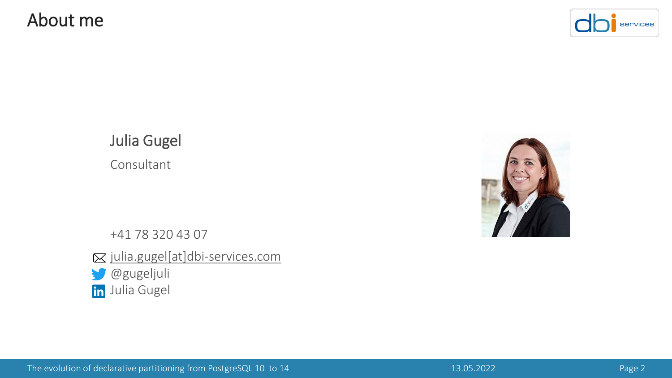#### About me



Julia Gugel Consultant

+41 78 320 43 07 ⊠ [julia.gugel\[at\]dbi-services.com](mailto:julia.gugel@dbi-services.com)

@gugeljuli **in** Julia Gugel

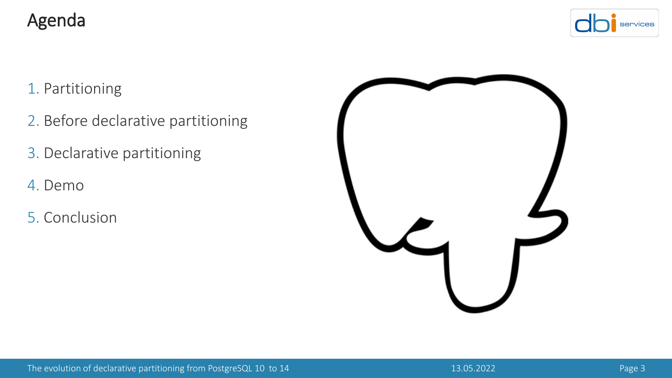#### Agenda



#### 1. Partitioning

- 2. Before declarative partitioning
- 3. Declarative partitioning
- 4. Demo
- 5. Conclusion

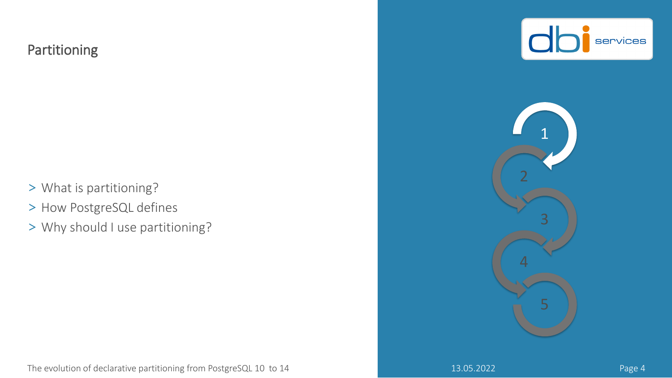#### Partitioning

- > What is partitioning?
- > How PostgreSQL defines
- > Why should I use partitioning?





The evolution of declarative partitioning from PostgreSQL 10 to 14 13.05.2022 13.05.2022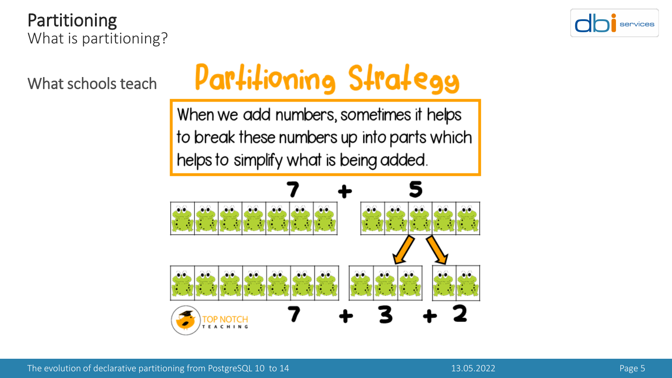Partitioning What is partitioning?



What schools teach

# Partitioning Strategg

When we add numbers, sometimes it helps to break these numbers up into parts which helps to simplify what is being added.

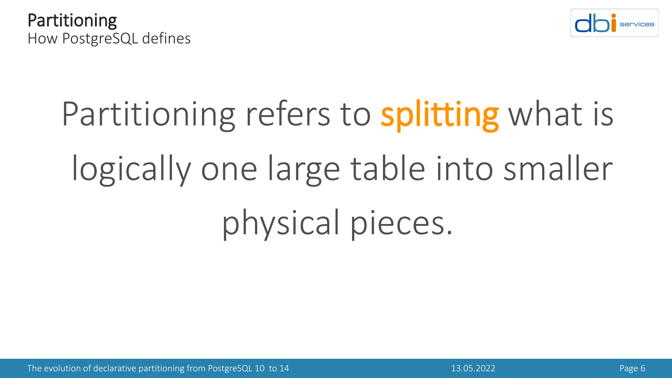



# Partitioning refers to splitting what is logically one large table into smaller physical pieces.

The evolution of declarative partitioning from PostgreSQL 10 to 14 13.05.2022 13.05.2022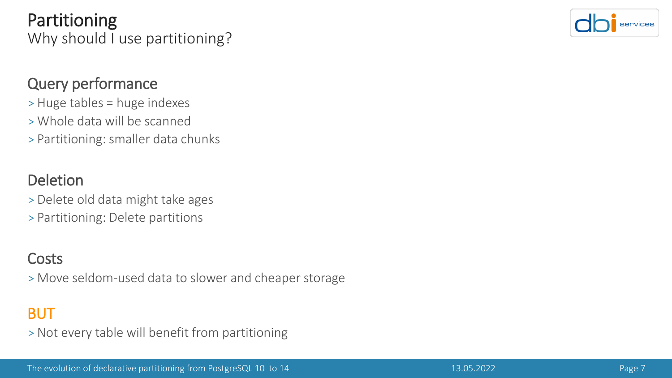Partitioning Why should I use partitioning?



#### Query performance

- > Huge tables = huge indexes
- >Whole data will be scanned
- > Partitioning: smaller data chunks

#### Deletion

- > Delete old data might take ages
- > Partitioning: Delete partitions

#### **Costs**

>Move seldom-used data to slower and cheaper storage

#### **BUT**

> Not every table will benefit from partitioning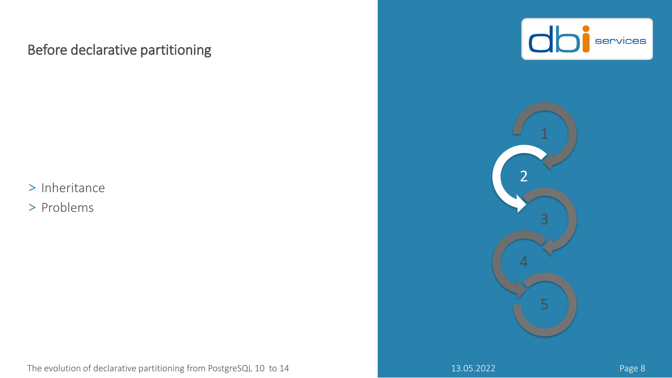#### Before declarative partitioning

> Inheritance

> Problems





The evolution of declarative partitioning from PostgreSQL 10 to 14 13.05.2022 13.05.2022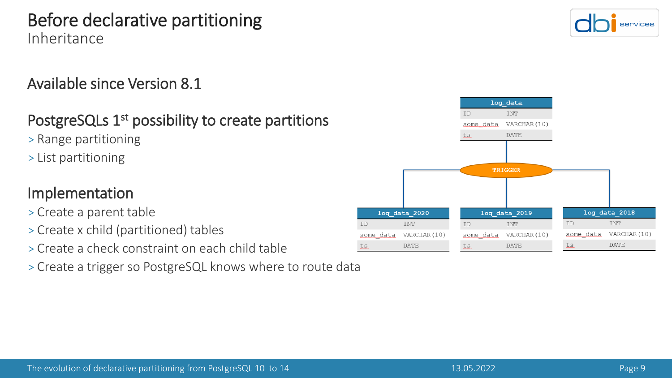#### Before declarative partitioning Inheritance

#### Available since Version 8.1

#### PostgreSQLs 1<sup>st</sup> possibility to create partitions

- > Range partitioning
- > List partitioning

#### Implementation

- > Create a parent table
- > Create x child (partitioned) tables
- > Create a check constraint on each child table
- > Create a trigger so PostgreSQL knows where to route data



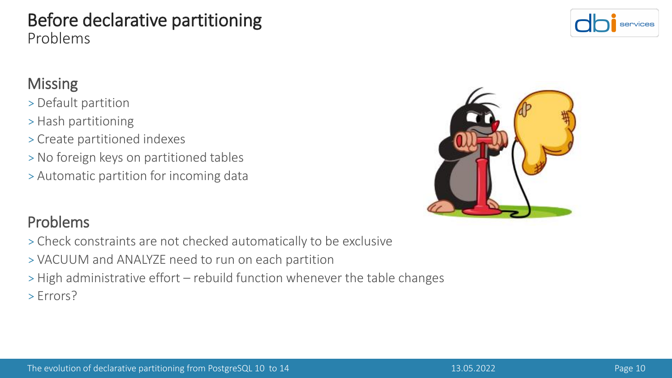#### Before declarative partitioning Problems

#### **Missing**

- > Default partition
- > Hash partitioning
- > Create partitioned indexes
- > No foreign keys on partitioned tables
- > Automatic partition for incoming data

#### Problems

- > Check constraints are not checked automatically to be exclusive
- > VACUUM and ANALYZE need to run on each partition
- > High administrative effort rebuild function whenever the table changes > Errors?



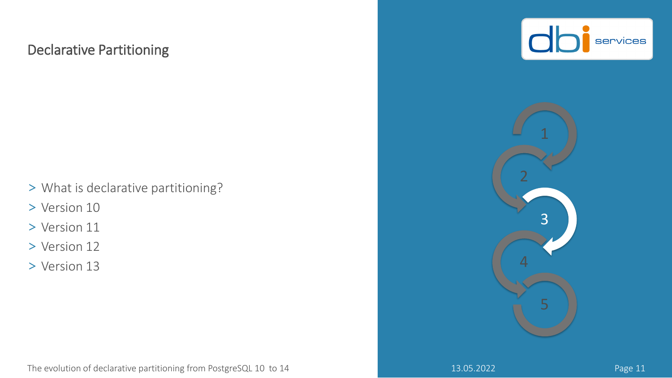#### Declarative Partitioning

> What is declarative partitioning?

> Version 10

- > Version 11
- > Version 12
- > Version 13



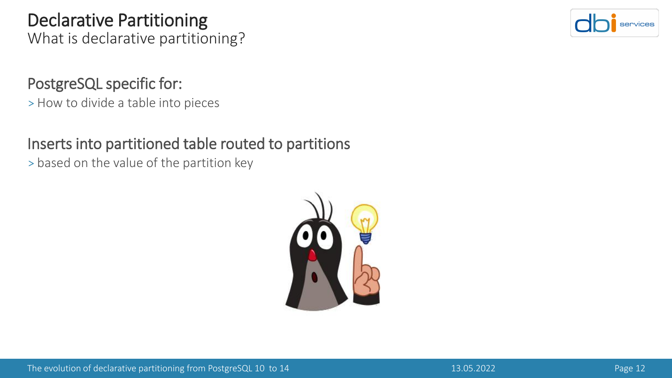### Declarative Partitioning

What is declarative partitioning?

#### PostgreSQL specific for:

> How to divide a table into pieces

#### Inserts into partitioned table routed to partitions

> based on the value of the partition key



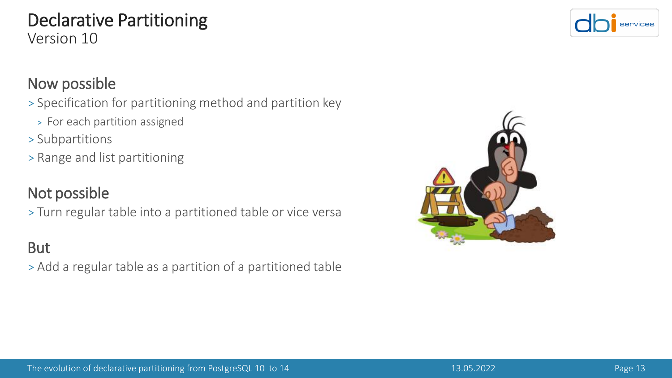#### Now possible

> Specification for partitioning method and partition key

- > For each partition assigned
- > Subpartitions
- > Range and list partitioning

### Not possible

> Turn regular table into a partitioned table or vice versa

### But

> Add a regular table as a partition of a partitioned table



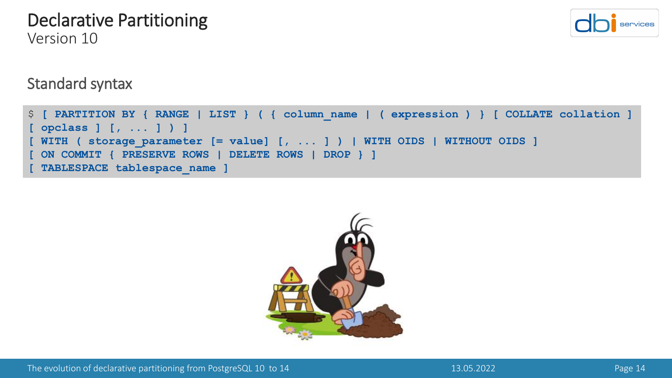# Standard syntax

```
$ [ PARTITION BY { RANGE | LIST } ( { column_name | ( expression ) } [ COLLATE collation ] 
[ opclass ] [, ... ] ) ]
 [ WITH ( storage_parameter [= value] [, ... ] ) | WITH OIDS | WITHOUT OIDS ]
 [ ON COMMIT { PRESERVE ROWS | DELETE ROWS | DROP } ]
 [ TABLESPACE tablespace_name ]
```




#### Declarative Partitioning Version 10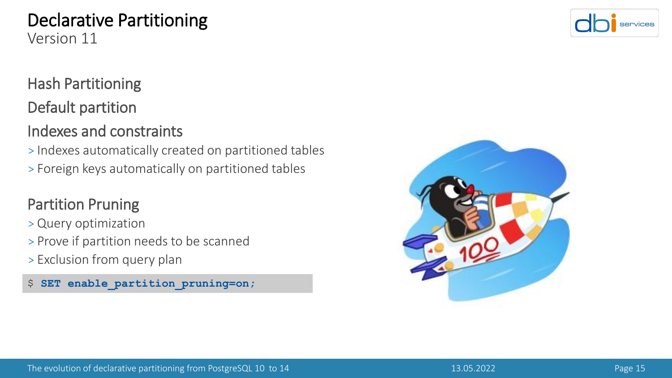## Declarative Partitioning

Version 11

#### Hash Partitioning

#### Default partition

#### Indexes and constraints

> Indexes automatically created on partitioned tables > Foreign keys automatically on partitioned tables

#### Partition Pruning

- > Query optimization
- > Prove if partition needs to be scanned
- > Exclusion from query plan

\$ **SET enable\_partition\_pruning=on;**



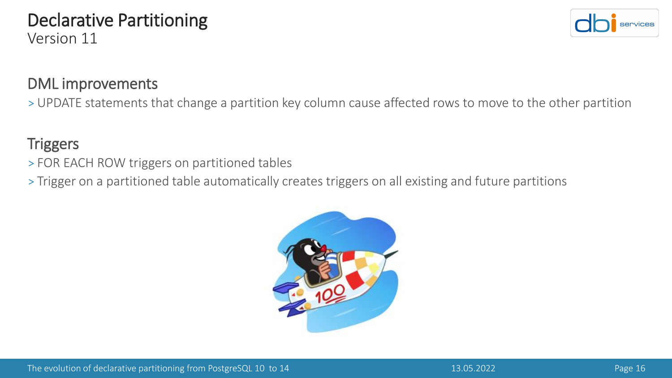#### DML improvements

> UPDATE statements that change a partition key column cause affected rows to move to the other partition

#### **Triggers**

- > FOR EACH ROW triggers on partitioned tables
- > Trigger on a partitioned table automatically creates triggers on all existing and future partitions



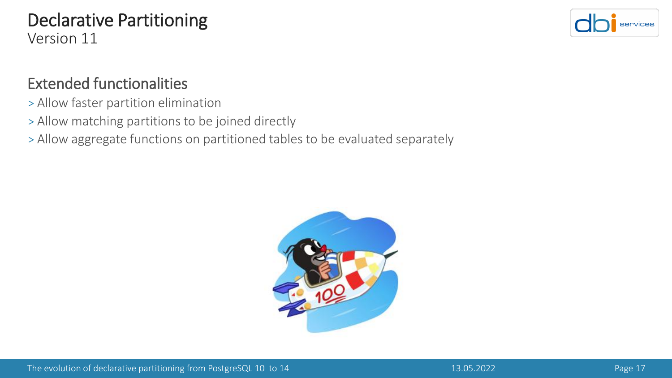

#### Extended functionalities

- > Allow faster partition elimination
- > Allow matching partitions to be joined directly
- > Allow aggregate functions on partitioned tables to be evaluated separately

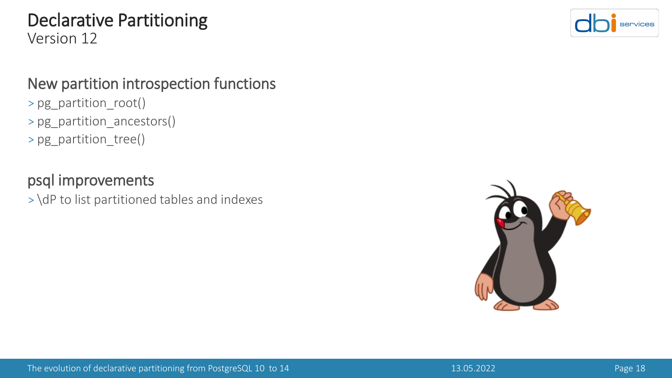#### New partition introspection functions

- > pg\_partition\_root()
- > pg\_partition\_ancestors()
- > pg\_partition\_tree()

#### psql improvements

> \dP to list partitioned tables and indexes



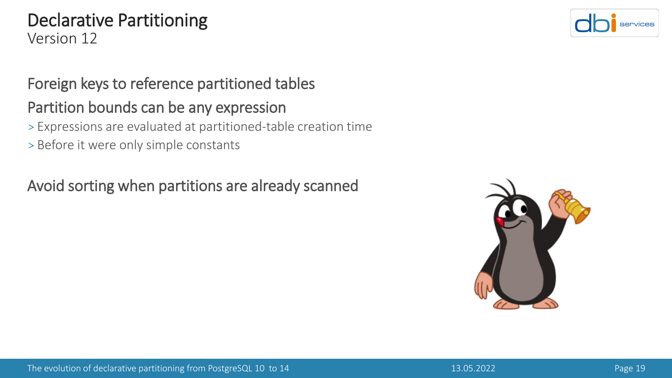# Foreign keys to reference partitioned tables

#### Partition bounds can be any expression

- > Expressions are evaluated at partitioned-table creation time
- > Before it were only simple constants

Avoid sorting when partitions are already scanned



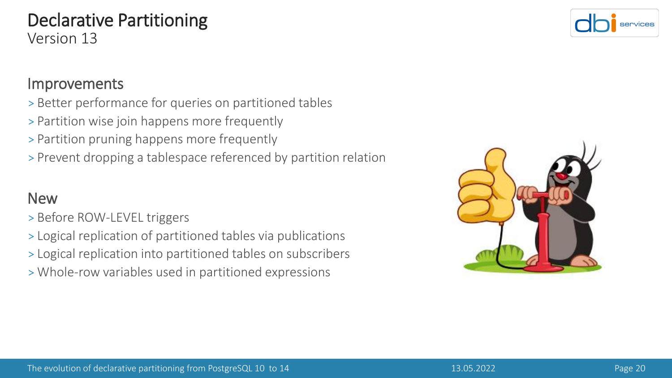#### The evolution of declarative partitioning from PostgreSQL 10 to 14 13.05.2022 13.05.2022 Page 20

#### Declarative Partitioning Version 13

#### Improvements

- > Better performance for queries on partitioned tables
- > Partition wise join happens more frequently
- > Partition pruning happens more frequently
- > Prevent dropping a tablespace referenced by partition relation

#### **New**

- > Before ROW-LEVEL triggers
- > Logical replication of partitioned tables via publications
- > Logical replication into partitioned tables on subscribers
- >Whole-row variables used in partitioned expressions



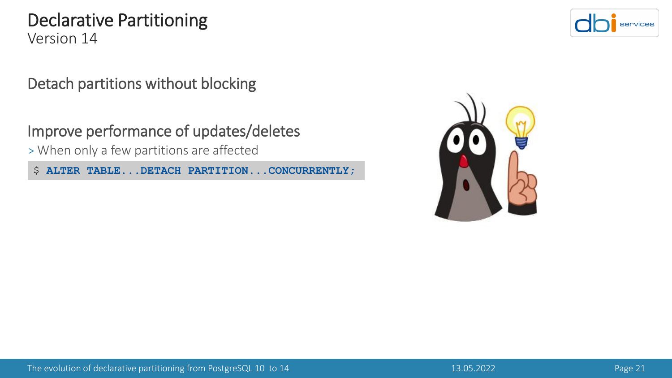Detach partitions without blocking

Improve performance of updates/deletes

>When only a few partitions are affected

\$ **ALTER TABLE...DETACH PARTITION...CONCURRENTLY;**



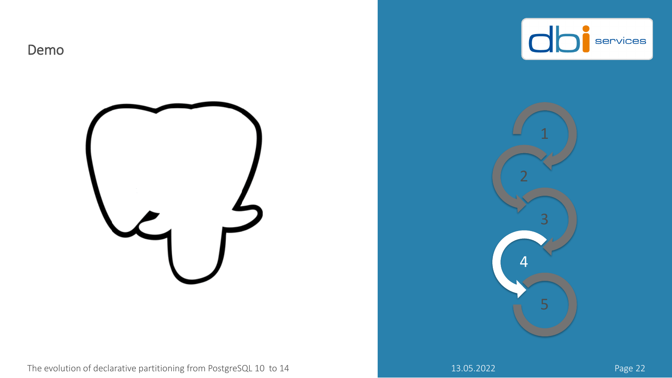







The evolution of declarative partitioning from PostgreSQL 10 to 14 13.05.2022 13.05.2022 Page 22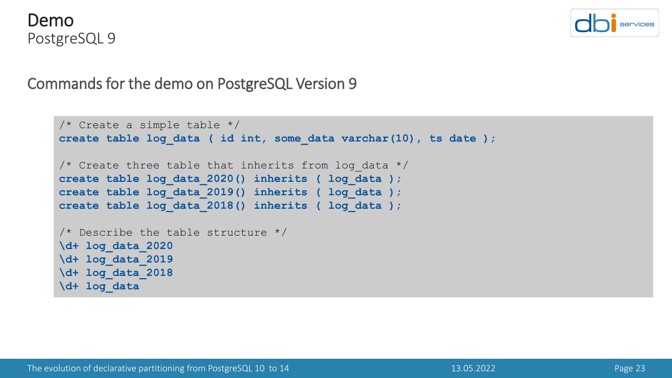



```
/* Create a simple table */
create table log_data ( id int, some_data varchar(10), ts date );
/* Create three table that inherits from log data */create table log_data_2020() inherits ( log_data );
create table log_data_2019() inherits ( log_data );
create table log_data_2018() inherits ( log_data );
/* Describe the table structure */
\d+ log_data_2020
\d+ log_data_2019
\d+ log_data_2018
\d+ log_data
```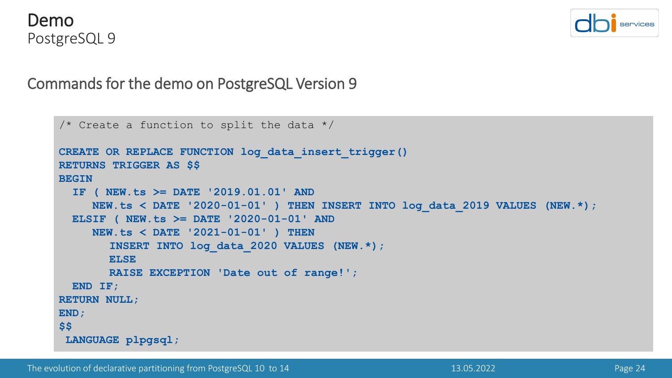



```
/* Create a function to split the data */CREATE OR REPLACE FUNCTION log_data_insert_trigger()
RETURNS TRIGGER AS $$
BEGIN
  IF ( NEW.ts >= DATE '2019.01.01' AND
    NEW.ts < DATE '2020-01-01' ) THEN INSERT INTO log_data_2019 VALUES (NEW.*);
 ELSIF ( NEW.ts >= DATE '2020-01-01' AND
    NEW.ts < DATE '2021-01-01' ) THEN
       INSERT INTO log_data_2020 VALUES (NEW.*);
       ELSE
       RAISE EXCEPTION 'Date out of range!';
 END IF;
RETURN NULL;
END;
$$
LANGUAGE plpgsql;
```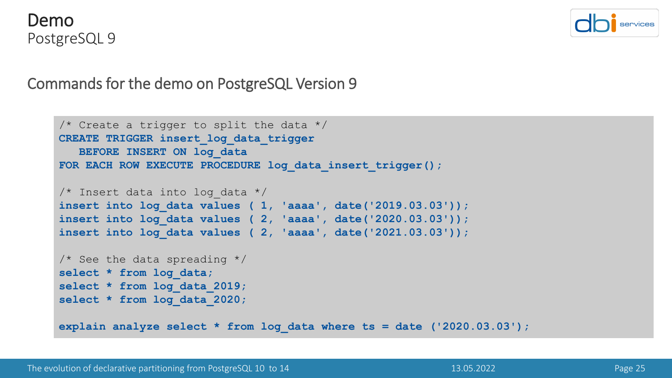



```
/* Create a trigger to split the data */CREATE TRIGGER insert_log_data_trigger
  BEFORE INSERT ON log_data
FOR EACH ROW EXECUTE PROCEDURE log_data_insert_trigger();
/* Insert data into log_data */
insert into log_data values ( 1, 'aaaa', date('2019.03.03'));
insert into log_data values ( 2, 'aaaa', date('2020.03.03'));
insert into log_data values ( 2, 'aaaa', date('2021.03.03'));
/* See the data spreading */select * from log_data;
select * from log_data_2019;
select * from log_data_2020;
explain analyze select * from log_data where ts = date ('2020.03.03');
```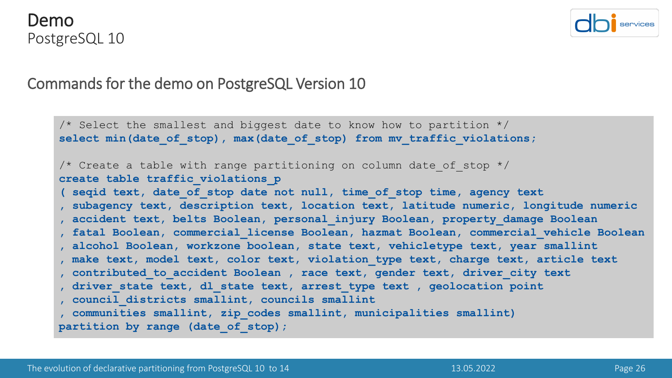#### Demo PostgreSQL 10



#### Commands for the demo on PostgreSQL Version 10

 $\frac{1}{2}$  Select the smallest and biggest date to know how to partition  $\frac{1}{2}$ select min(date of stop), max(date of stop) from mv traffic violations; /\* Create a table with range partitioning on column date of stop  $*/$ **create table traffic\_violations\_p ( seqid text, date\_of\_stop date not null, time\_of\_stop time, agency text , subagency text, description text, location text, latitude numeric, longitude numeric , accident text, belts Boolean, personal\_injury Boolean, property\_damage Boolean , fatal Boolean, commercial\_license Boolean, hazmat Boolean, commercial\_vehicle Boolean , alcohol Boolean, workzone boolean, state text, vehicletype text, year smallint , make text, model text, color text, violation\_type text, charge text, article text , contributed\_to\_accident Boolean , race text, gender text, driver\_city text , driver\_state text, dl\_state text, arrest\_type text , geolocation point , council\_districts smallint, councils smallint , communities smallint, zip\_codes smallint, municipalities smallint) partition by range (date\_of\_stop);**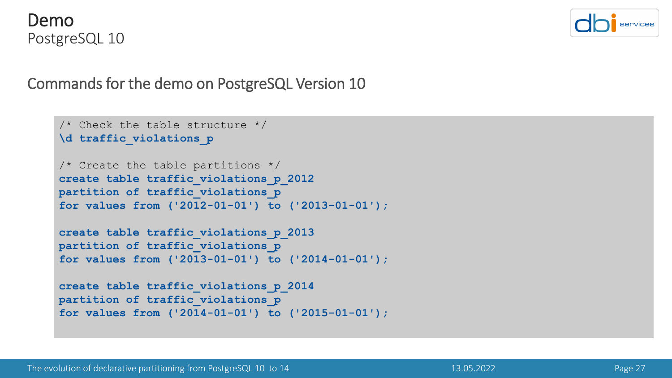



```
/* Check the table structure */\d traffic_violations_p
/* Create the table partitions */create table traffic_violations_p_2012
partition of traffic violations p
for values from ('2012-01-01') to ('2013-01-01');
create table traffic_violations_p_2013
partition of traffic_violations_p
for values from ('2013-01-01') to ('2014-01-01');
create table traffic_violations_p_2014
partition of traffic_violations_p
for values from ('2014-01-01') to ('2015-01-01');
```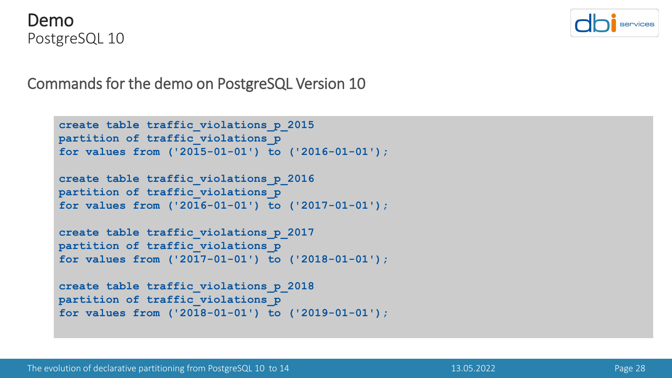



```
create table traffic_violations_p_2015
partition of traffic_violations_p
for values from ('2015-01-01') to ('2016-01-01');
create table traffic_violations_p_2016
partition of traffic violations p
for values from ('2016-01-01') to ('2017-01-01');
create table traffic_violations_p_2017
partition of traffic_violations_p
for values from ('2017-01-01') to ('2018-01-01');
create table traffic_violations_p_2018
```

```
partition of traffic violations p
for values from ('2018-01-01') to ('2019-01-01');
```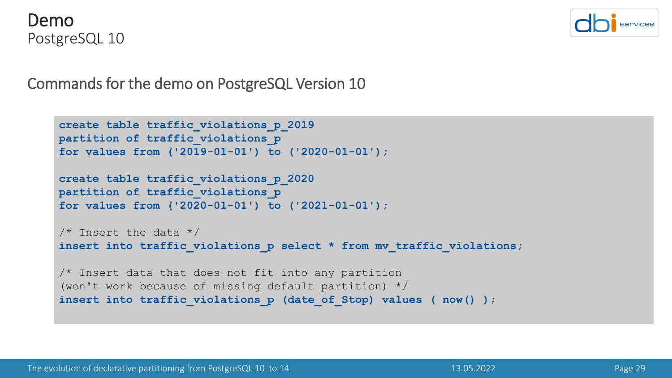



```
create table traffic_violations_p_2019
partition of traffic_violations_p
for values from ('2019-01-01') to ('2020-01-01');
create table traffic_violations_p_2020
partition of traffic_violations_p
for values from ('2020-01-01') to ('2021-01-01');
\frac{1}{x} Insert the data \frac{x}{x}insert into traffic violations p select * from mv traffic violations;
/* Insert data that does not fit into any partition 
(won't work because of missing default partition) */
insert into traffic violations p (date of Stop) values ( now() );
```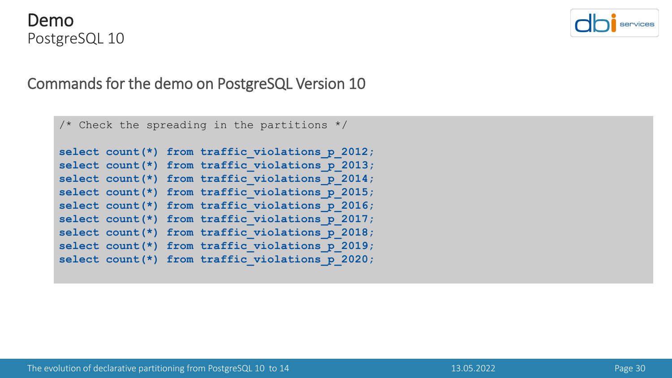#### Demo PostgreSQL 10



```
/* Check the spreading in the partitions */select count(*) from traffic violations p 2012;
select count(*) from traffic violations p 2013;
select count(*) from traffic violations p 2014;
select count(*) from traffic violations p 2015;
select count(*) from traffic violations p 2016;
select count(*) from traffic violations p 2017;
select count(*) from traffic violations p 2018;
select count(*) from traffic violations p 2019;
select count(*) from traffic violations p 2020;
```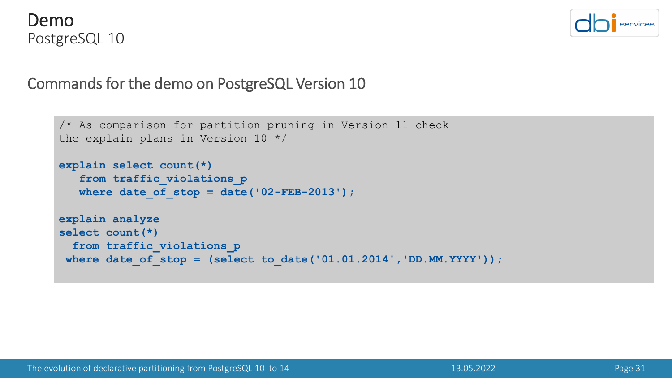



```
/* As comparison for partition pruning in Version 11 check 
the explain plans in Version 10 */
explain select count(*) 
   from traffic_violations_p
   where date of stop = date('02-FEB-2013');
explain analyze
select count(*)
  from traffic_violations_p
where date_of_stop = (select to_date('01.01.2014','DD.MM.YYYY'));
```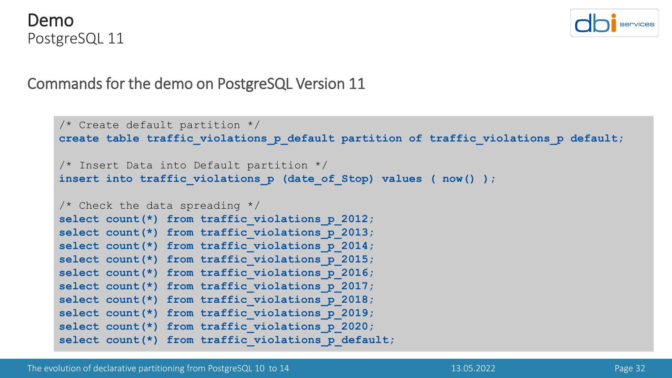



```
/* Create default partition */
create table traffic_violations_p_default partition of traffic_violations_p default;
/* Insert Data into Default partition */
insert into traffic violations p (date of Stop) values ( now() );
\frac{1}{2} Check the data spreading \frac{x}{2}select count(*) from traffic violations p 2012;
select count(*) from traffic violations p 2013;
select count(*) from traffic violations p 2014;
select count(*) from traffic violations p 2015;
select count(*) from traffic violations p 2016;
select count(*) from traffic violations p 2017;
select count(*) from traffic violations p 2018;
select count(*) from traffic violations p 2019;
select count(*) from traffic violations p 2020;
select count(*) from traffic violations p default;
```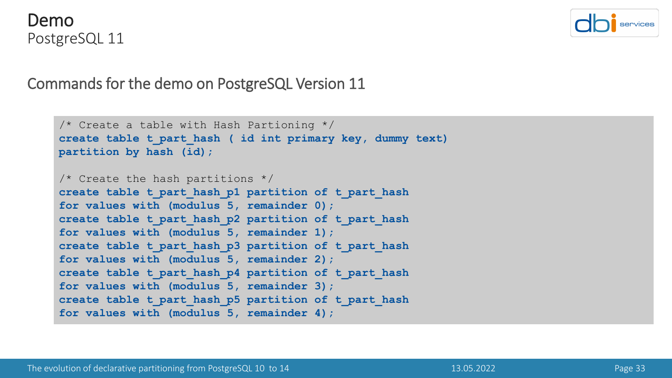#### Demo PostgreSQL 11



```
/* Create a table with Hash Partioning */
create table t_part_hash ( id int primary key, dummy text)
partition by hash (id);
/* Create the hash partitions */create table t_part_hash_p1 partition of t_part_hash
for values with (modulus 5, remainder 0);
create table t_part_hash_p2 partition of t_part_hash
for values with (modulus 5, remainder 1);
create table t_part_hash_p3 partition of t_part_hash
for values with (modulus 5, remainder 2);
create table t_part_hash_p4 partition of t_part_hash
for values with (modulus 5, remainder 3);
create table t_part_hash_p5 partition of t_part_hash
for values with (modulus 5, remainder 4);
```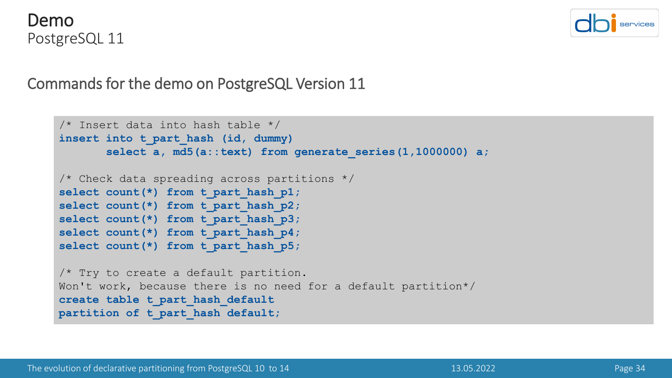



```
/* Insert data into hash table */
insert into t_part_hash (id, dummy)
       select a, md5(a::text) from generate_series(1,1000000) a;
/* Check data spreading across partitions */
select count(*) from t part hash p1;
select count(*) from t part hash p2;
select count(*) from t part hash p3;
select count(*) from t part hash p4;
select count(*) from t part hash p5;
/* Try to create a default partition.
Won't work, because there is no need for a default partition*/
create table t_part_hash_default
partition of t_part_hash default;
```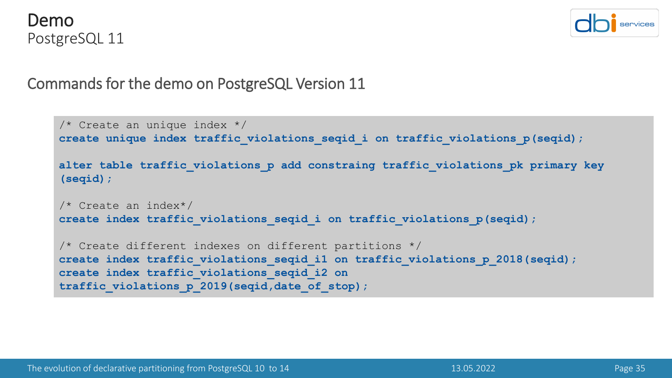



```
/* Create an unique index */
create unique index traffic violations seqid i on traffic violations p(seqid);
alter table traffic_violations_p add constraing traffic_violations_pk primary key 
(seqid);
/* Create an index*/
create index traffic violations seqid i on traffic violations p(seqid);
/* Create different indexes on different partitions */
create index traffic violations seqid i1 on traffic violations p 2018(seqid);
create index traffic_violations_seqid_i2 on 
traffic_violations_p_2019(seqid,date_of_stop);
```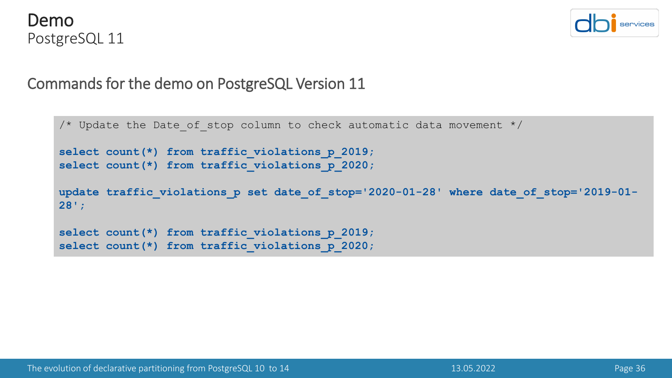



```
/* Update the Date of stop column to check automatic data movement */select count(*) from traffic violations p 2019;
select count(*) from traffic violations p 2020;
update traffic violations p set date of stop='2020-01-28' where date of stop='2019-01-
28';
select count(*) from traffic violations p 2019;
select count(*) from traffic violations p 2020;
```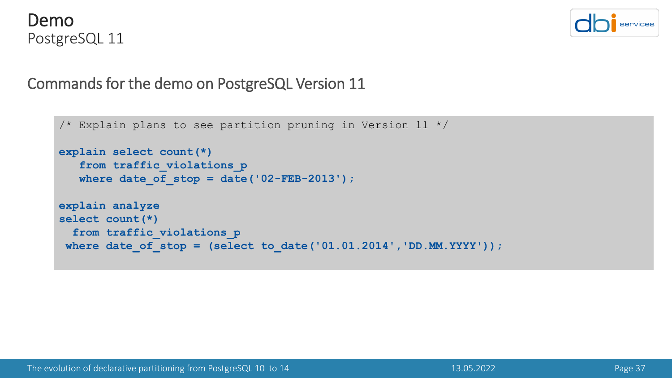



```
\frac{1}{x} Explain plans to see partition pruning in Version 11 */
explain select count(*) 
   from traffic_violations_p
   where date of stop = date('02-FEB-2013');
explain analyze
select count(*)
  from traffic_violations_p
where date_of_stop = (select to_date('01.01.2014','DD.MM.YYYY'));
```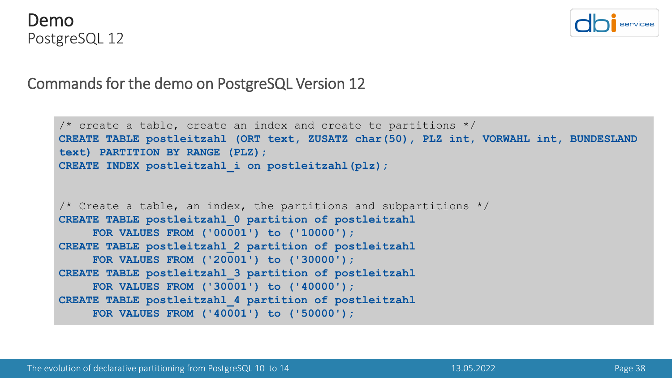



```
\prime* create a table, create an index and create te partitions */
CREATE TABLE postleitzahl (ORT text, ZUSATZ char(50), PLZ int, VORWAHL int, BUNDESLAND 
text) PARTITION BY RANGE (PLZ);
CREATE INDEX postleitzahl_i on postleitzahl(plz);
\prime* Create a table, an index, the partitions and subpartitions */
CREATE TABLE postleitzahl_0 partition of postleitzahl
     FOR VALUES FROM ('00001') to ('10000');
CREATE TABLE postleitzahl_2 partition of postleitzahl
     FOR VALUES FROM ('20001') to ('30000');
CREATE TABLE postleitzahl_3 partition of postleitzahl
     FOR VALUES FROM ('30001') to ('40000');
CREATE TABLE postleitzahl_4 partition of postleitzahl
     FOR VALUES FROM ('40001') to ('50000');
```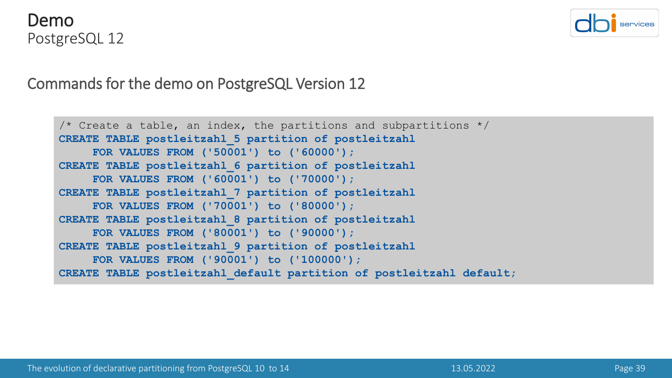#### Demo PostgreSQL 12



```
\frac{1}{2} Create a table, an index, the partitions and subpartitions \frac{*}{2}CREATE TABLE postleitzahl_5 partition of postleitzahl
     FOR VALUES FROM ('50001') to ('60000');
CREATE TABLE postleitzahl_6 partition of postleitzahl
     FOR VALUES FROM ('60001') to ('70000');
CREATE TABLE postleitzahl_7 partition of postleitzahl
     FOR VALUES FROM ('70001') to ('80000');
CREATE TABLE postleitzahl_8 partition of postleitzahl
     FOR VALUES FROM ('80001') to ('90000');
CREATE TABLE postleitzahl_9 partition of postleitzahl
     FOR VALUES FROM ('90001') to ('100000');
CREATE TABLE postleitzahl_default partition of postleitzahl default;
```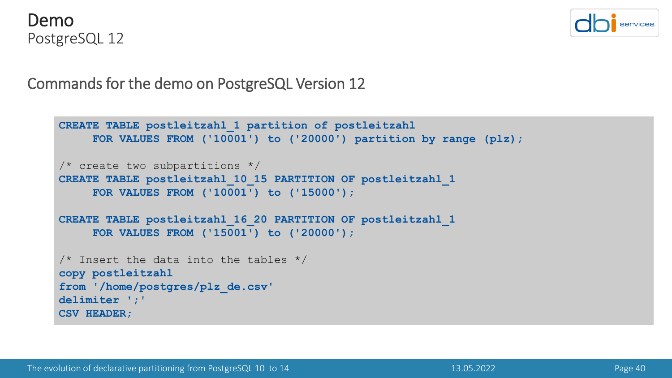



```
CREATE TABLE postleitzahl_1 partition of postleitzahl
     FOR VALUES FROM ('10001') to ('20000') partition by range (plz);
/* create two subpartitions */
CREATE TABLE postleitzahl_10_15 PARTITION OF postleitzahl_1
    FOR VALUES FROM ('10001') to ('15000');
CREATE TABLE postleitzahl_16_20 PARTITION OF postleitzahl_1
     FOR VALUES FROM ('15001') to ('20000');
/* Insert the data into the tables */
copy postleitzahl
from '/home/postgres/plz_de.csv'
delimiter ';'
CSV HEADER;
```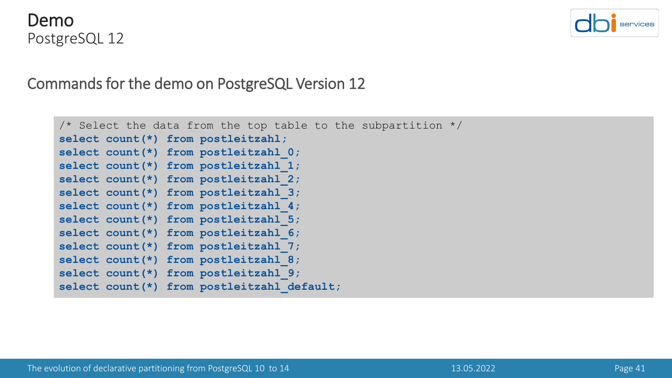



```
\prime* Select the data from the top table to the subpartition \primeselect count(*) from postleitzahl;
select count(*) from postleitzahl_0;
select count(*) from postleitzahl_1;
select count(*) from postleitzahl_2;
select count(*) from postleitzahl_3;
select count(*) from postleitzahl 4;
select count(*) from postleitzahl_5;
select count(*) from postleitzahl_6;
select count(*) from postleitzahl_7;
select count(*) from postleitzahl 8;
select count(*) from postleitzahl_9;
select count(*) from postleitzahl default;
```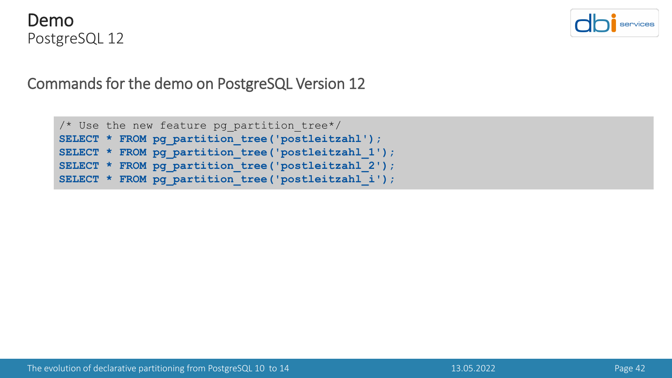



```
/* Use the new feature pg_partition_tree*/
SELECT * FROM pg partition tree('postleitzahl');
SELECT * FROM pg_partition_tree('postleitzahl_1');
SELECT * FROM pg_partition_tree('postleitzahl_2');
SELECT * FROM pg_partition_tree('postleitzahl_i');
```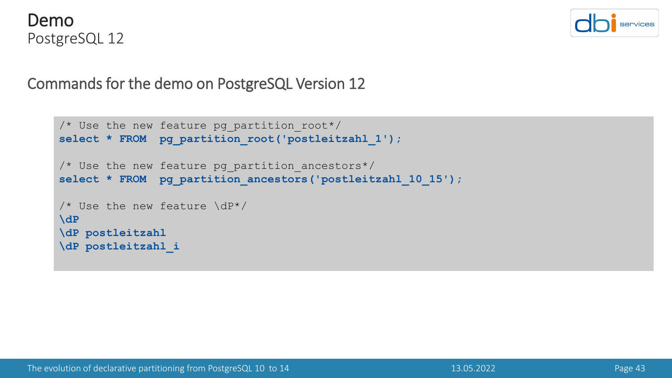



```
/* Use the new feature pg_partition_root*/
select * FROM pg partition root('postleitzahl 1');
/* Use the new feature pg partition ancestors*/
select * FROM pg_partition_ancestors('postleitzahl_10_15');
/* Use the new feature \dP*/
\dP
\dP postleitzahl
\dP postleitzahl_i
```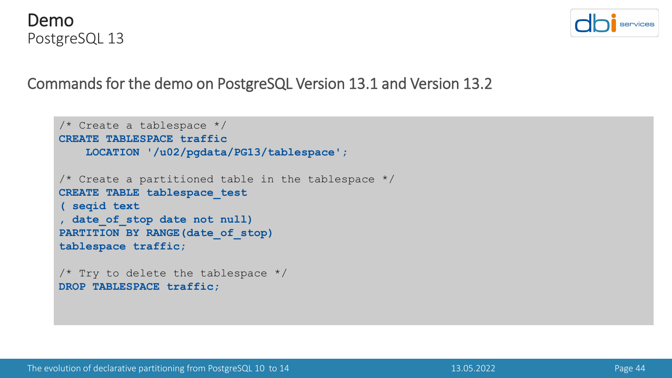



Commands for the demo on PostgreSQL Version 13.1 and Version 13.2

```
/* Create a tablespace */
CREATE TABLESPACE traffic
   LOCATION '/u02/pgdata/PG13/tablespace';
/* Create a partitioned table in the tablespace */CREATE TABLE tablespace_test
( seqid text
, date_of_stop date not null)
PARTITION BY RANGE (date of stop)
tablespace traffic;
/* Try to delete the tablespace */DROP TABLESPACE traffic;
```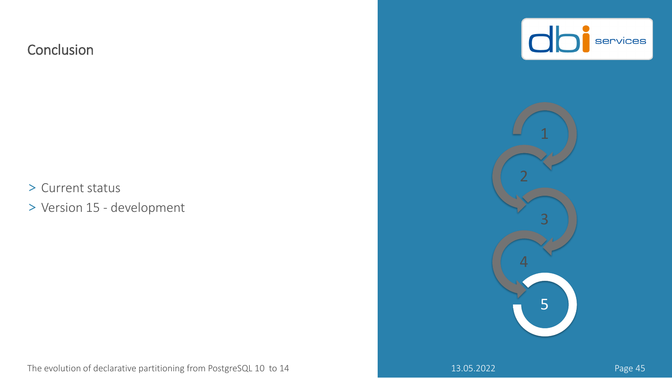#### **Conclusion**

> Current status

> Version 15 - development





The evolution of declarative partitioning from PostgreSQL 10 to 14 13.05.2022 13.05.2022 Page 45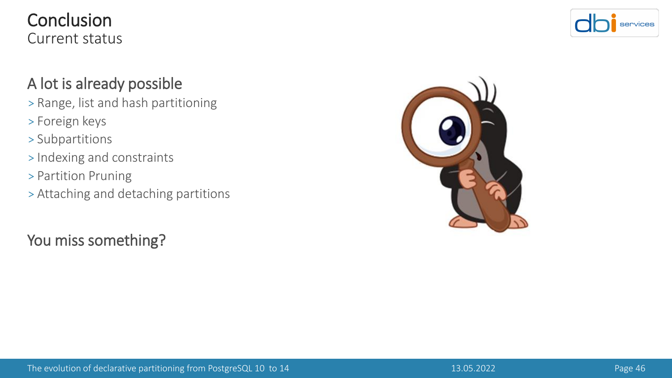#### **Conclusion** Current status

#### A lot is already possible

- > Range, list and hash partitioning
- > Foreign keys
- > Subpartitions
- > Indexing and constraints
- > Partition Pruning
- > Attaching and detaching partitions

You miss something?



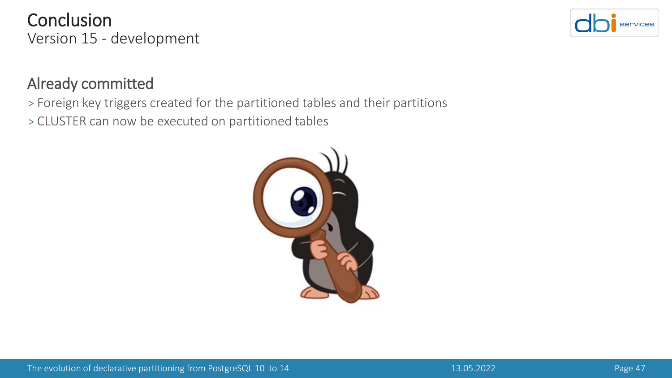Already committed

> Foreign key triggers created for the partitioned tables and their partitions

> CLUSTER can now be executed on partitioned tables

#### Conclusion Version 15 - development